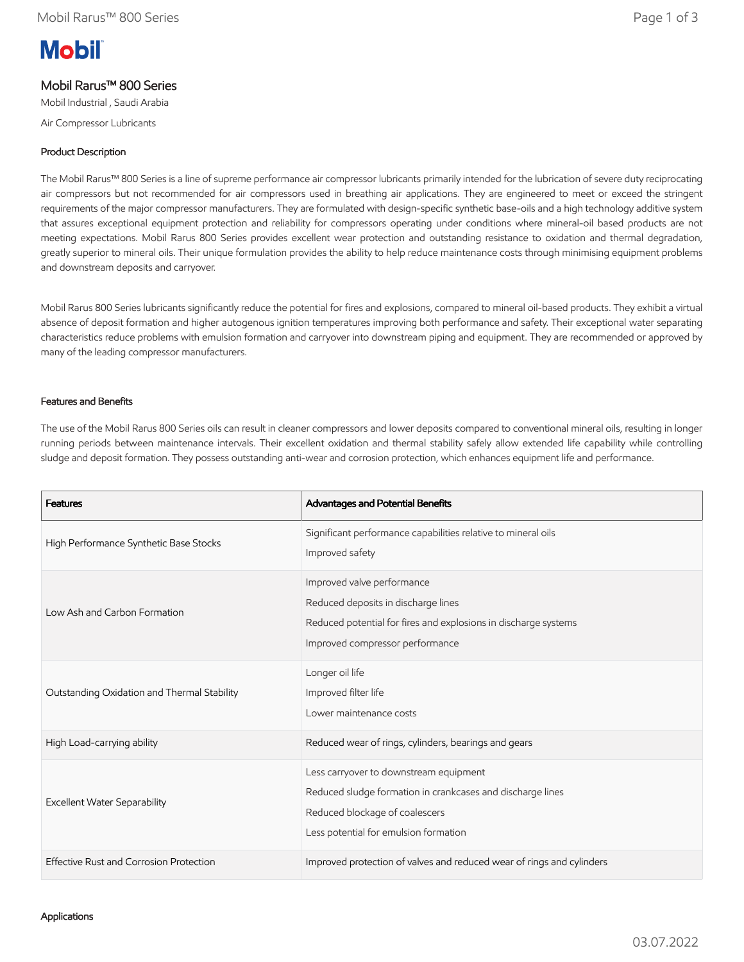# **Mobil**

# Mobil Rarus™ 800 Series

Mobil Industrial , Saudi Arabia

Air Compressor Lubricants

## Product Description

The Mobil Rarus™ 800 Series is a line of supreme performance air compressor lubricants primarily intended for the lubrication of severe duty reciprocating air compressors but not recommended for air compressors used in breathing air applications. They are engineered to meet or exceed the stringent requirements of the major compressor manufacturers. They are formulated with design-specific synthetic base-oils and a high technology additive system that assures exceptional equipment protection and reliability for compressors operating under conditions where mineral-oil based products are not meeting expectations. Mobil Rarus 800 Series provides excellent wear protection and outstanding resistance to oxidation and thermal degradation, greatly superior to mineral oils. Their unique formulation provides the ability to help reduce maintenance costs through minimising equipment problems and downstream deposits and carryover.

Mobil Rarus 800 Series lubricants significantly reduce the potential for fires and explosions, compared to mineral oil-based products. They exhibit a virtual absence of deposit formation and higher autogenous ignition temperatures improving both performance and safety. Their exceptional water separating characteristics reduce problems with emulsion formation and carryover into downstream piping and equipment. They are recommended or approved by many of the leading compressor manufacturers.

#### Features and Benefits

The use of the Mobil Rarus 800 Series oils can result in cleaner compressors and lower deposits compared to conventional mineral oils, resulting in longer running periods between maintenance intervals. Their excellent oxidation and thermal stability safely allow extended life capability while controlling sludge and deposit formation. They possess outstanding anti-wear and corrosion protection, which enhances equipment life and performance.

| <b>Features</b>                             | Advantages and Potential Benefits                                                                                                                                               |
|---------------------------------------------|---------------------------------------------------------------------------------------------------------------------------------------------------------------------------------|
| High Performance Synthetic Base Stocks      | Significant performance capabilities relative to mineral oils<br>Improved safety                                                                                                |
| Low Ash and Carbon Formation                | Improved valve performance<br>Reduced deposits in discharge lines<br>Reduced potential for fires and explosions in discharge systems<br>Improved compressor performance         |
| Outstanding Oxidation and Thermal Stability | Longer oil life<br>Improved filter life<br>Lower maintenance costs                                                                                                              |
| High Load-carrying ability                  | Reduced wear of rings, cylinders, bearings and gears                                                                                                                            |
| <b>Excellent Water Separability</b>         | Less carryover to downstream equipment<br>Reduced sludge formation in crankcases and discharge lines<br>Reduced blockage of coalescers<br>Less potential for emulsion formation |
| Effective Rust and Corrosion Protection     | Improved protection of valves and reduced wear of rings and cylinders                                                                                                           |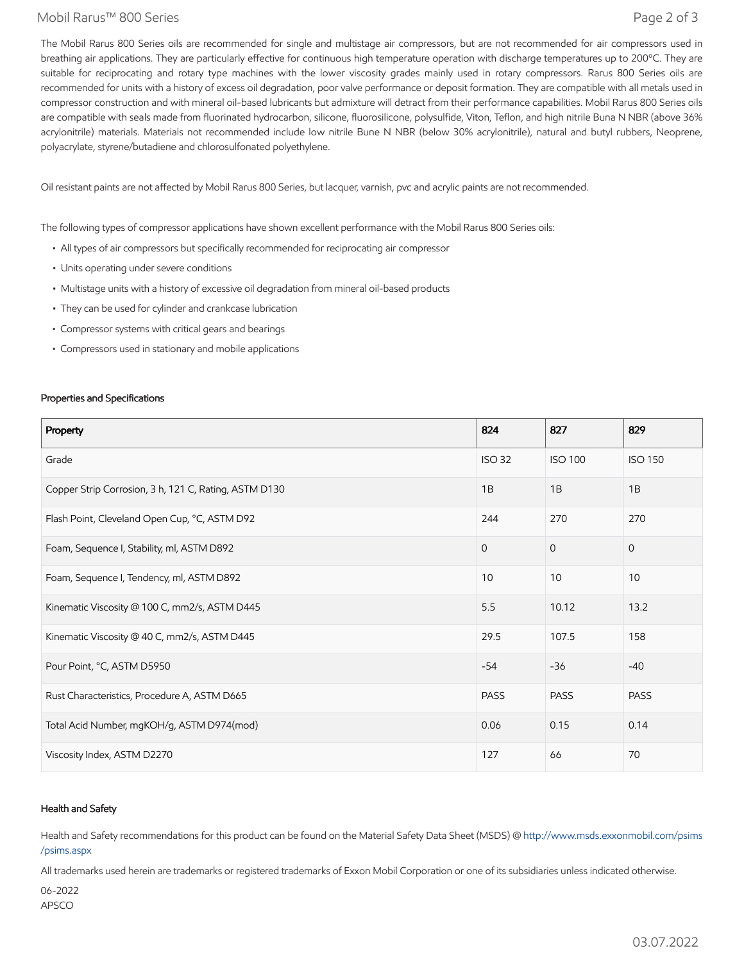#### Mobil Rarus™ 800 Series Page 2 of 3

The Mobil Rarus 800 Series oils are recommended for single and multistage air compressors, but are not recommended for air compressors used in breathing air applications. They are particularly effective for continuous high temperature operation with discharge temperatures up to 200°C. They are suitable for reciprocating and rotary type machines with the lower viscosity grades mainly used in rotary compressors. Rarus 800 Series oils are recommended for units with a history of excess oil degradation, poor valve performance or deposit formation. They are compatible with all metals used in compressor construction and with mineral oil-based lubricants but admixture will detract from their performance capabilities. Mobil Rarus 800 Series oils are compatible with seals made from fluorinated hydrocarbon, silicone, fluorosilicone, polysulfide, Viton, Teflon, and high nitrile Buna N NBR (above 36% acrylonitrile) materials. Materials not recommended include low nitrile Bune N NBR (below 30% acrylonitrile), natural and butyl rubbers, Neoprene, polyacrylate, styrene/butadiene and chlorosulfonated polyethylene.

Oil resistant paints are not affected by Mobil Rarus 800 Series, but lacquer, varnish, pvc and acrylic paints are not recommended.

The following types of compressor applications have shown excellent performance with the Mobil Rarus 800 Series oils:

- All types of air compressors but specifically recommended for reciprocating air compressor
- Units operating under severe conditions
- Multistage units with a history of excessive oil degradation from mineral oil-based products
- They can be used for cylinder and crankcase lubrication
- Compressor systems with critical gears and bearings
- Compressors used in stationary and mobile applications

#### Properties and Specifications

| Property                                              | 824           | 827            | 829            |
|-------------------------------------------------------|---------------|----------------|----------------|
| Grade                                                 | <b>ISO 32</b> | <b>ISO 100</b> | <b>ISO 150</b> |
| Copper Strip Corrosion, 3 h, 121 C, Rating, ASTM D130 | 1B            | 1B             | 1B             |
| Flash Point, Cleveland Open Cup, °C, ASTM D92         | 244           | 270            | 270            |
| Foam, Sequence I, Stability, ml, ASTM D892            | $\Omega$      | $\overline{0}$ | $\mathbf{0}$   |
| Foam, Sequence I, Tendency, ml, ASTM D892             | 10            | 10             | 10             |
| Kinematic Viscosity @ 100 C, mm2/s, ASTM D445         | 5.5           | 10.12          | 13.2           |
| Kinematic Viscosity @ 40 C, mm2/s, ASTM D445          | 29.5          | 107.5          | 158            |
| Pour Point, °C, ASTM D5950                            | $-54$         | $-36$          | $-40$          |
| Rust Characteristics, Procedure A, ASTM D665          | <b>PASS</b>   | <b>PASS</b>    | <b>PASS</b>    |
| Total Acid Number, mgKOH/g, ASTM D974(mod)            | 0.06          | 0.15           | 0.14           |
| Viscosity Index, ASTM D2270                           | 127           | 66             | 70             |

#### Health and Safety

Health and Safety recommendations for this product can be found on the Material Safety Data Sheet (MSDS) @ [http://www.msds.exxonmobil.com/psims](http://www.msds.exxonmobil.com/psims/psims.aspx) /psims.aspx

All trademarks used herein are trademarks or registered trademarks of Exxon Mobil Corporation or one of its subsidiaries unless indicated otherwise.

06-2022 APSCO